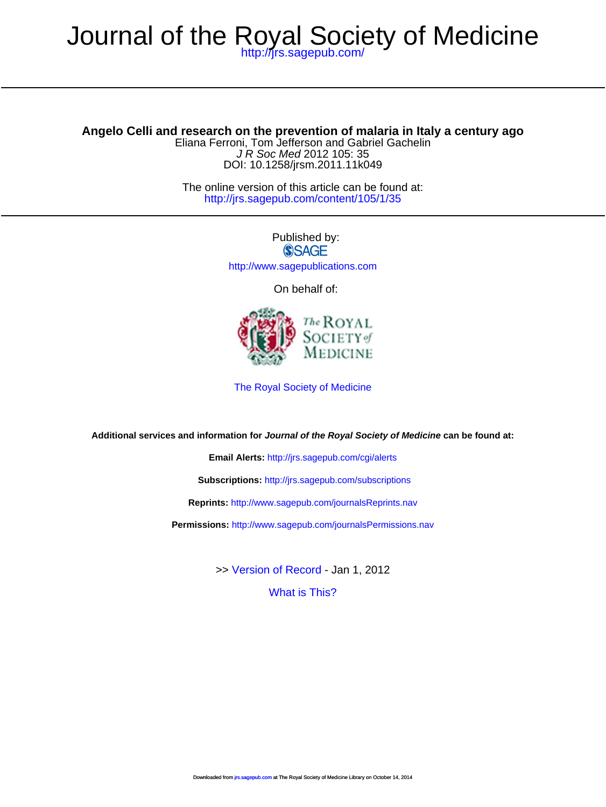J R Soc Med 2012 105: 35 Eliana Ferroni, Tom Jefferson and Gabriel Gachelin **Angelo Celli and research on the prevention of malaria in Italy a century ago**

DOI: 10.1258/jrsm.2011.11k049

<http://jrs.sagepub.com/content/105/1/35> The online version of this article can be found at:

> Published by:<br>
> SAGE <http://www.sagepublications.com>

On behalf of:



[The Royal Society of Medicine](http://www.rsm.ac.uk/)

**Additional services and information for Journal of the Royal Society of Medicine can be found at:**

**Email Alerts:** <http://jrs.sagepub.com/cgi/alerts>

**Subscriptions:** <http://jrs.sagepub.com/subscriptions>

**Reprints:** <http://www.sagepub.com/journalsReprints.nav>

**Permissions:** <http://www.sagepub.com/journalsPermissions.nav>

>> [Version of Record -](http://jrs.sagepub.com/content/105/1/35.full.pdf) Jan 1, 2012

[What is This?](http://online.sagepub.com/site/sphelp/vorhelp.xhtml)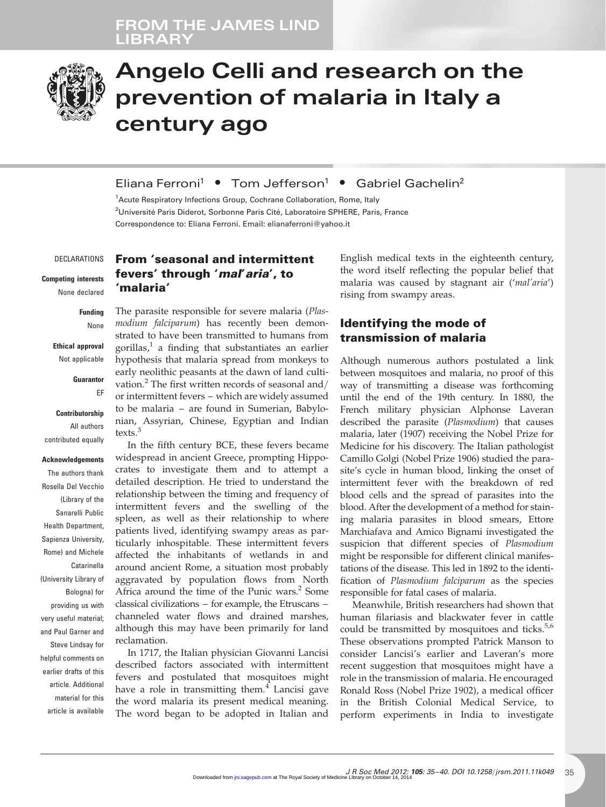### FROM THE JAMES LIND LIBRAR



# Angelo Celli and research on the prevention of malaria in Italy a century ago

#### Eliana Ferroni<sup>1</sup> • Tom Jefferson<sup>1</sup> • Gabriel Gachelin<sup>2</sup>

<sup>1</sup> Acute Respiratory Infections Group, Cochrane Collaboration, Rome, Italy <sup>2</sup>Université Paris Diderot, Sorbonne Paris Cité, Laboratoire SPHERE, Paris, France Correspondence to: Eliana Ferroni. Email: [elianaferroni@yahoo.it](mailto:elianaferroni@yahoo.it)

#### DECLARATIONS

Competing interests None declared

> Funding None

#### Ethical approval Not applicable

**Guarantor** 

EF

#### **Contributorship** All authors contributed equally

## Acknowledgements

The authors thank Rosella Del Vecchio (Library of the Sanarelli Public Health Department, Sapienza University, Rome) and Michele Catarinella (University Library of Bologna) for providing us with very useful material; and Paul Garner and Steve Lindsay for helpful comments on earlier drafts of this article. Additional material for this article is available

#### From 'seasonal and intermittent fevers' through 'mal' aria', to 'malaria'

The parasite responsible for severe malaria (Plasmodium falciparum) has recently been demonstrated to have been transmitted to humans from gorillas, $\frac{1}{2}$  a finding that substantiates an earlier hypothesis that malaria spread from monkeys to early neolithic peasants at the dawn of land cultivation.<sup>2</sup> The first written records of seasonal and/ or intermittent fevers – which are widely assumed to be malaria – are found in Sumerian, Babylonian, Assyrian, Chinese, Egyptian and Indian texts.<sup>3</sup>

In the fifth century BCE, these fevers became widespread in ancient Greece, prompting Hippocrates to investigate them and to attempt a detailed description. He tried to understand the relationship between the timing and frequency of intermittent fevers and the swelling of the spleen, as well as their relationship to where patients lived, identifying swampy areas as particularly inhospitable. These intermittent fevers affected the inhabitants of wetlands in and around ancient Rome, a situation most probably aggravated by population flows from North Africa around the time of the Punic wars.<sup>2</sup> Some classical civilizations – for example, the Etruscans – channeled water flows and drained marshes, although this may have been primarily for land reclamation.

In 1717, the Italian physician Giovanni Lancisi described factors associated with intermittent fevers and postulated that mosquitoes might have a role in transmitting them. $4$  Lancisi gave the word malaria its present medical meaning. The word began to be adopted in Italian and

English medical texts in the eighteenth century, the word itself reflecting the popular belief that malaria was caused by stagnant air ('mal'aria') rising from swampy areas.

#### Identifying the mode of transmission of malaria

Although numerous authors postulated a link between mosquitoes and malaria, no proof of this way of transmitting a disease was forthcoming until the end of the 19th century. In 1880, the French military physician Alphonse Laveran described the parasite (Plasmodium) that causes malaria, later (1907) receiving the Nobel Prize for Medicine for his discovery. The Italian pathologist Camillo Golgi (Nobel Prize 1906) studied the parasite's cycle in human blood, linking the onset of intermittent fever with the breakdown of red blood cells and the spread of parasites into the blood. After the development of a method for staining malaria parasites in blood smears, Ettore Marchiafava and Amico Bignami investigated the suspicion that different species of Plasmodium might be responsible for different clinical manifestations of the disease. This led in 1892 to the identification of Plasmodium falciparum as the species responsible for fatal cases of malaria.

Meanwhile, British researchers had shown that human filariasis and blackwater fever in cattle could be transmitted by mosquitoes and ticks. $5,6$ These observations prompted Patrick Manson to consider Lancisi's earlier and Laveran's more recent suggestion that mosquitoes might have a role in the transmission of malaria. He encouraged Ronald Ross (Nobel Prize 1902), a medical officer in the British Colonial Medical Service, to perform experiments in India to investigate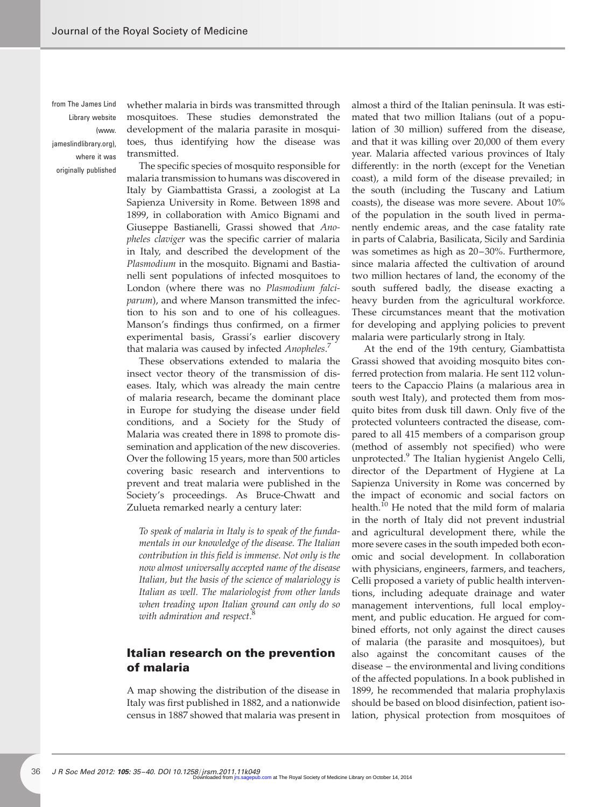from The James Lind Library website  $(mn n)$ [jameslindlibrary.org\)](http://www.jameslindlibrary.org), where it was originally published

whether malaria in birds was transmitted through mosquitoes. These studies demonstrated the development of the malaria parasite in mosquitoes, thus identifying how the disease was transmitted.

The specific species of mosquito responsible for malaria transmission to humans was discovered in Italy by Giambattista Grassi, a zoologist at La Sapienza University in Rome. Between 1898 and 1899, in collaboration with Amico Bignami and Giuseppe Bastianelli, Grassi showed that Anopheles claviger was the specific carrier of malaria in Italy, and described the development of the Plasmodium in the mosquito. Bignami and Bastianelli sent populations of infected mosquitoes to London (where there was no Plasmodium falciparum), and where Manson transmitted the infection to his son and to one of his colleagues. Manson's findings thus confirmed, on a firmer experimental basis, Grassi's earlier discovery that malaria was caused by infected Anopheles.<sup>7</sup>

These observations extended to malaria the insect vector theory of the transmission of diseases. Italy, which was already the main centre of malaria research, became the dominant place in Europe for studying the disease under field conditions, and a Society for the Study of Malaria was created there in 1898 to promote dissemination and application of the new discoveries. Over the following 15 years, more than 500 articles covering basic research and interventions to prevent and treat malaria were published in the Society's proceedings. As Bruce-Chwatt and Zulueta remarked nearly a century later:

To speak of malaria in Italy is to speak of the fundamentals in our knowledge of the disease. The Italian contribution in this field is immense. Not only is the now almost universally accepted name of the disease Italian, but the basis of the science of malariology is Italian as well. The malariologist from other lands when treading upon Italian ground can only do so with admiration and respect.<sup>8</sup>

#### Italian research on the prevention of malaria

A map showing the distribution of the disease in Italy was first published in 1882, and a nationwide census in 1887 showed that malaria was present in almost a third of the Italian peninsula. It was estimated that two million Italians (out of a population of 30 million) suffered from the disease, and that it was killing over 20,000 of them every year. Malaria affected various provinces of Italy differently: in the north (except for the Venetian coast), a mild form of the disease prevailed; in the south (including the Tuscany and Latium coasts), the disease was more severe. About 10% of the population in the south lived in permanently endemic areas, and the case fatality rate in parts of Calabria, Basilicata, Sicily and Sardinia was sometimes as high as 20-30%. Furthermore, since malaria affected the cultivation of around two million hectares of land, the economy of the south suffered badly, the disease exacting a heavy burden from the agricultural workforce. These circumstances meant that the motivation for developing and applying policies to prevent malaria were particularly strong in Italy.

At the end of the 19th century, Giambattista Grassi showed that avoiding mosquito bites conferred protection from malaria. He sent 112 volunteers to the Capaccio Plains (a malarious area in south west Italy), and protected them from mosquito bites from dusk till dawn. Only five of the protected volunteers contracted the disease, compared to all 415 members of a comparison group (method of assembly not specified) who were unprotected.<sup>9</sup> The Italian hygienist Angelo Celli, director of the Department of Hygiene at La Sapienza University in Rome was concerned by the impact of economic and social factors on health.<sup>10</sup> He noted that the mild form of malaria in the north of Italy did not prevent industrial and agricultural development there, while the more severe cases in the south impeded both economic and social development. In collaboration with physicians, engineers, farmers, and teachers, Celli proposed a variety of public health interventions, including adequate drainage and water management interventions, full local employment, and public education. He argued for combined efforts, not only against the direct causes of malaria (the parasite and mosquitoes), but also against the concomitant causes of the disease – the environmental and living conditions of the affected populations. In a book published in 1899, he recommended that malaria prophylaxis should be based on blood disinfection, patient isolation, physical protection from mosquitoes of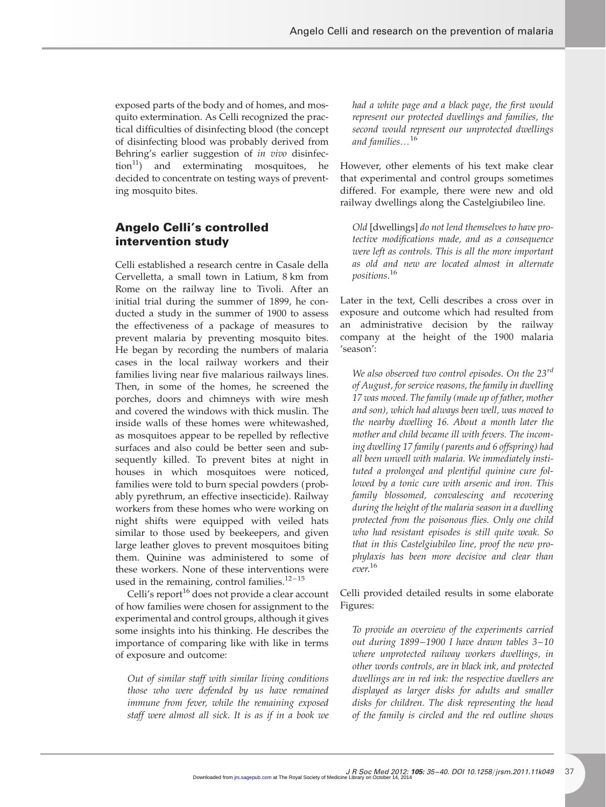exposed parts of the body and of homes, and mosquito extermination. As Celli recognized the practical difficulties of disinfecting blood (the concept of disinfecting blood was probably derived from Behring's earlier suggestion of in vivo disinfec- $\text{tion}^{11}$  and exterminating mosquitoes, he decided to concentrate on testing ways of preventing mosquito bites.

#### Angelo Celli's controlled intervention study

Celli established a research centre in Casale della Cervelletta, a small town in Latium, 8 km from Rome on the railway line to Tivoli. After an initial trial during the summer of 1899, he conducted a study in the summer of 1900 to assess the effectiveness of a package of measures to prevent malaria by preventing mosquito bites. He began by recording the numbers of malaria cases in the local railway workers and their families living near five malarious railways lines. Then, in some of the homes, he screened the porches, doors and chimneys with wire mesh and covered the windows with thick muslin. The inside walls of these homes were whitewashed, as mosquitoes appear to be repelled by reflective surfaces and also could be better seen and subsequently killed. To prevent bites at night in houses in which mosquitoes were noticed, families were told to burn special powders (probably pyrethrum, an effective insecticide). Railway workers from these homes who were working on night shifts were equipped with veiled hats similar to those used by beekeepers, and given large leather gloves to prevent mosquitoes biting them. Quinine was administered to some of these workers. None of these interventions were used in the remaining, control families. $12 - 15$ 

Celli's report<sup>16</sup> does not provide a clear account of how families were chosen for assignment to the experimental and control groups, although it gives some insights into his thinking. He describes the importance of comparing like with like in terms of exposure and outcome:

Out of similar staff with similar living conditions those who were defended by us have remained immune from fever, while the remaining exposed staff were almost all sick. It is as if in a book we

had a white page and a black page, the first would represent our protected dwellings and families, the second would represent our unprotected dwellings and families...<sup>16</sup>

However, other elements of his text make clear that experimental and control groups sometimes differed. For example, there were new and old railway dwellings along the Castelgiubileo line.

Old [dwellings] do not lend themselves to have protective modifications made, and as a consequence were left as controls. This is all the more important as old and new are located almost in alternate positions. 16

Later in the text, Celli describes a cross over in exposure and outcome which had resulted from an administrative decision by the railway company at the height of the 1900 malaria 'season':

We also observed two control episodes. On the 23<sup>rd</sup> of August, for service reasons, the family in dwelling 17 was moved. The family (made up of father, mother and son), which had always been well, was moved to the nearby dwelling 16. About a month later the mother and child became ill with fevers. The incoming dwelling 17 family ( parents and 6 offspring) had all been unwell with malaria. We immediately instituted a prolonged and plentiful quinine cure followed by a tonic cure with arsenic and iron. This family blossomed, convalescing and recovering during the height of the malaria season in a dwelling protected from the poisonous flies. Only one child who had resistant episodes is still quite weak. So that in this Castelgiubileo line, proof the new prophylaxis has been more decisive and clear than ever. 16

Celli provided detailed results in some elaborate Figures:

To provide an overview of the experiments carried out during 1899 – 1900 I have drawn tables 3– 10 where unprotected railway workers dwellings, in other words controls, are in black ink, and protected dwellings are in red ink: the respective dwellers are displayed as larger disks for adults and smaller disks for children. The disk representing the head of the family is circled and the red outline shows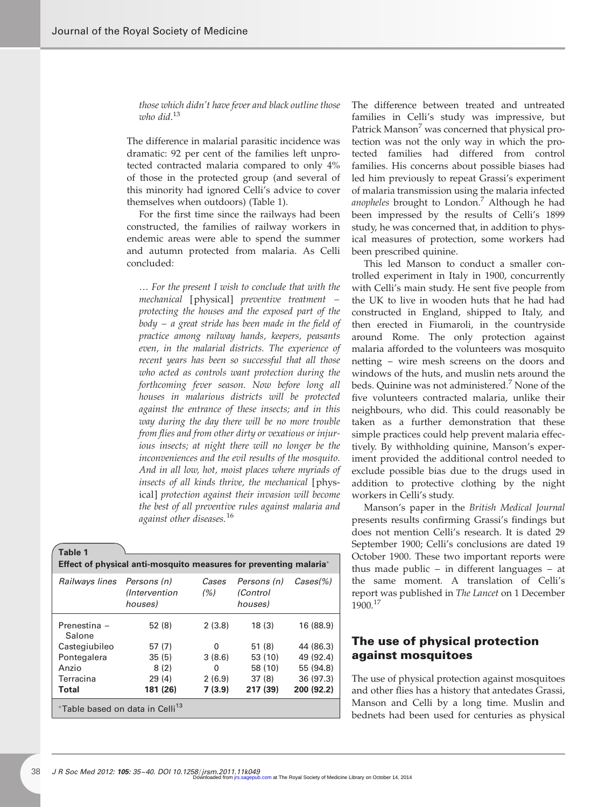those which didn't have fever and black outline those who did.<sup>13</sup>

The difference in malarial parasitic incidence was dramatic: 92 per cent of the families left unprotected contracted malaria compared to only 4% of those in the protected group (and several of this minority had ignored Celli's advice to cover themselves when outdoors) (Table 1).

For the first time since the railways had been constructed, the families of railway workers in endemic areas were able to spend the summer and autumn protected from malaria. As Celli concluded:

… For the present I wish to conclude that with the mechanical [physical] preventive treatment – protecting the houses and the exposed part of the body – a great stride has been made in the field of practice among railway hands, keepers, peasants even, in the malarial districts. The experience of recent years has been so successful that all those who acted as controls want protection during the forthcoming fever season. Now before long all houses in malarious districts will be protected against the entrance of these insects; and in this way during the day there will be no more trouble from flies and from other dirty or vexatious or injurious insects; at night there will no longer be the inconveniences and the evil results of the mosquito. And in all low, hot, moist places where myriads of insects of all kinds thrive, the mechanical [physical] protection against their invasion will become the best of all preventive rules against malaria and against other diseases.<sup>16</sup>

| Table 1                                                                   |                                                 |               |                                    |                    |
|---------------------------------------------------------------------------|-------------------------------------------------|---------------|------------------------------------|--------------------|
| <b>Effect of physical anti-mosquito measures for preventing malaria</b> * |                                                 |               |                                    |                    |
| Railways lines                                                            | Persons (n)<br><i>(Intervention)</i><br>houses) | Cases<br>(% ) | Persons (n)<br>(Control<br>houses) | $\text{Cases}(\%)$ |
| Prenestina -<br>Salone                                                    | 52(8)                                           | 2(3.8)        | 18(3)                              | 16 (88.9)          |
| Castegiubileo                                                             | 57(7)                                           | 0             | 51(8)                              | 44 (86.3)          |
| Pontegalera                                                               | 35(5)                                           | 3(8.6)        | 53 (10)                            | 49 (92.4)          |
| Anzio                                                                     | 8(2)                                            | 0             | 58 (10)                            | 55 (94.8)          |
| Terracina                                                                 | 29(4)                                           | 2(6.9)        | 37(8)                              | 36 (97.3)          |
| <b>Total</b>                                                              | 181 (26)                                        | 7(3.9)        | 217 (39)                           | 200 (92.2)         |
| *Table based on data in Celli <sup>13</sup>                               |                                                 |               |                                    |                    |

The difference between treated and untreated families in Celli's study was impressive, but Patrick Manson<sup>7</sup> was concerned that physical protection was not the only way in which the protected families had differed from control families. His concerns about possible biases had led him previously to repeat Grassi's experiment of malaria transmission using the malaria infected anopheles brought to London.<sup>7</sup> Although he had been impressed by the results of Celli's 1899 study, he was concerned that, in addition to physical measures of protection, some workers had been prescribed quinine.

This led Manson to conduct a smaller controlled experiment in Italy in 1900, concurrently with Celli's main study. He sent five people from the UK to live in wooden huts that he had had constructed in England, shipped to Italy, and then erected in Fiumaroli, in the countryside around Rome. The only protection against malaria afforded to the volunteers was mosquito netting – wire mesh screens on the doors and windows of the huts, and muslin nets around the beds. Quinine was not administered.<sup>7</sup> None of the five volunteers contracted malaria, unlike their neighbours, who did. This could reasonably be taken as a further demonstration that these simple practices could help prevent malaria effectively. By withholding quinine, Manson's experiment provided the additional control needed to exclude possible bias due to the drugs used in addition to protective clothing by the night workers in Celli's study.

Manson's paper in the British Medical Journal presents results confirming Grassi's findings but does not mention Celli's research. It is dated 29 September 1900; Celli's conclusions are dated 19 October 1900. These two important reports were thus made public – in different languages – at the same moment. A translation of Celli's report was published in The Lancet on 1 December 1900.<sup>17</sup>

#### The use of physical protection against mosquitoes

The use of physical protection against mosquitoes and other flies has a history that antedates Grassi, Manson and Celli by a long time. Muslin and bednets had been used for centuries as physical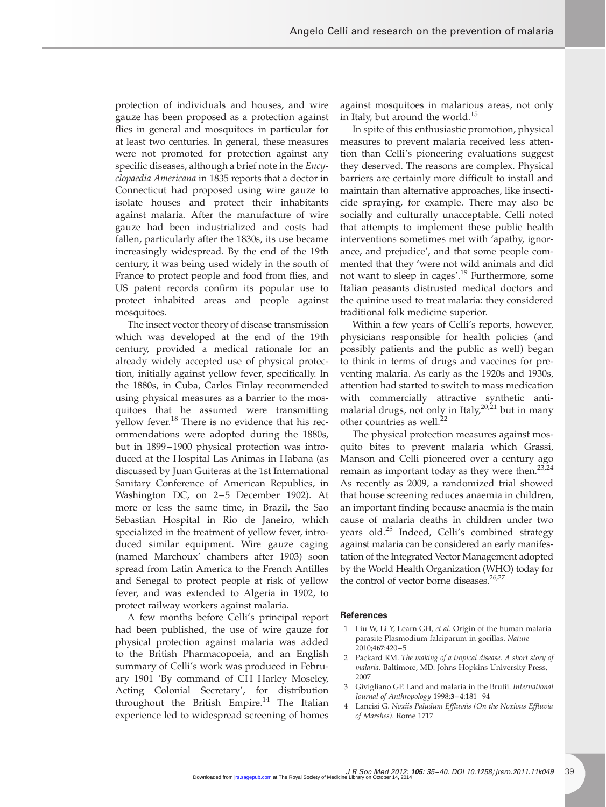protection of individuals and houses, and wire gauze has been proposed as a protection against flies in general and mosquitoes in particular for at least two centuries. In general, these measures were not promoted for protection against any specific diseases, although a brief note in the Encyclopaedia Americana in 1835 reports that a doctor in Connecticut had proposed using wire gauze to isolate houses and protect their inhabitants against malaria. After the manufacture of wire gauze had been industrialized and costs had fallen, particularly after the 1830s, its use became increasingly widespread. By the end of the 19th century, it was being used widely in the south of France to protect people and food from flies, and US patent records confirm its popular use to protect inhabited areas and people against mosquitoes.

The insect vector theory of disease transmission which was developed at the end of the 19th century, provided a medical rationale for an already widely accepted use of physical protection, initially against yellow fever, specifically. In the 1880s, in Cuba, Carlos Finlay recommended using physical measures as a barrier to the mosquitoes that he assumed were transmitting vellow fever.<sup>18</sup> There is no evidence that his recommendations were adopted during the 1880s, but in 1899-1900 physical protection was introduced at the Hospital Las Animas in Habana (as discussed by Juan Guiteras at the 1st International Sanitary Conference of American Republics, in Washington DC, on 2-5 December 1902). At more or less the same time, in Brazil, the Sao Sebastian Hospital in Rio de Janeiro, which specialized in the treatment of yellow fever, introduced similar equipment. Wire gauze caging (named Marchoux' chambers after 1903) soon spread from Latin America to the French Antilles and Senegal to protect people at risk of yellow fever, and was extended to Algeria in 1902, to protect railway workers against malaria.

A few months before Celli's principal report had been published, the use of wire gauze for physical protection against malaria was added to the British Pharmacopoeia, and an English summary of Celli's work was produced in February 1901 'By command of CH Harley Moseley, Acting Colonial Secretary', for distribution throughout the British Empire.<sup>14</sup> The Italian experience led to widespread screening of homes against mosquitoes in malarious areas, not only in Italy, but around the world.<sup>15</sup>

In spite of this enthusiastic promotion, physical measures to prevent malaria received less attention than Celli's pioneering evaluations suggest they deserved. The reasons are complex. Physical barriers are certainly more difficult to install and maintain than alternative approaches, like insecticide spraying, for example. There may also be socially and culturally unacceptable. Celli noted that attempts to implement these public health interventions sometimes met with 'apathy, ignorance, and prejudice', and that some people commented that they 'were not wild animals and did not want to sleep in cages'.<sup>19</sup> Furthermore, some Italian peasants distrusted medical doctors and the quinine used to treat malaria: they considered traditional folk medicine superior.

Within a few years of Celli's reports, however, physicians responsible for health policies (and possibly patients and the public as well) began to think in terms of drugs and vaccines for preventing malaria. As early as the 1920s and 1930s, attention had started to switch to mass medication with commercially attractive synthetic antimalarial drugs, not only in Italy,  $20,21$  but in many other countries as well.<sup>22</sup>

The physical protection measures against mosquito bites to prevent malaria which Grassi, Manson and Celli pioneered over a century ago remain as important today as they were then.<sup>23,24</sup> As recently as 2009, a randomized trial showed that house screening reduces anaemia in children, an important finding because anaemia is the main cause of malaria deaths in children under two years old.<sup>25</sup> Indeed, Celli's combined strategy against malaria can be considered an early manifestation of the Integrated Vector Management adopted by the World Health Organization (WHO) today for the control of vector borne diseases.<sup>26,27</sup>

- 1 Liu W, Li Y, Learn GH, et al. Origin of the human malaria parasite Plasmodium falciparum in gorillas. Nature 2010;467:420 – 5
- 2 Packard RM. The making of a tropical disease. A short story of malaria. Baltimore, MD: Johns Hopkins University Press, 2007
- 3 Givigliano GP. Land and malaria in the Brutii. International Journal of Anthropology 1998;3–4:181 –94
- 4 Lancisi G. Noxiis Paludum Effluviis (On the Noxious Effluvia of Marshes). Rome 1717